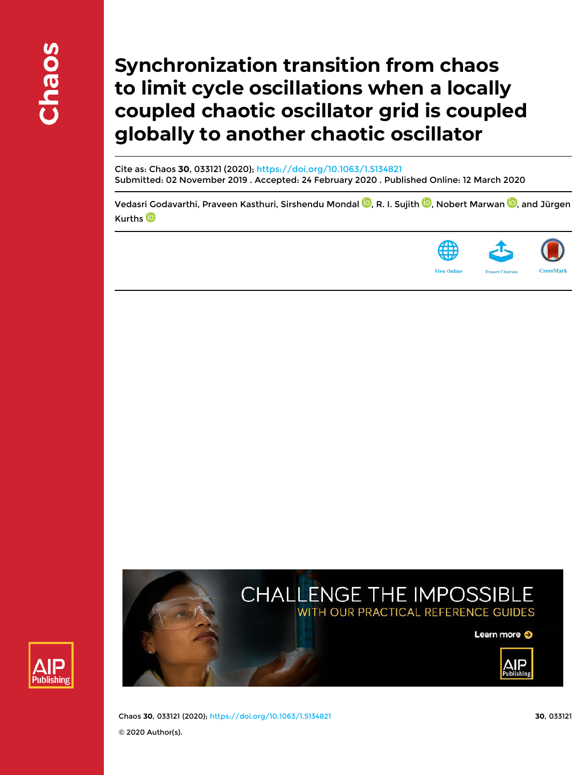# **Synchronization transition from chaos to limit cycle oscillations when a locally coupled chaotic oscillator grid is coupled globally to another chaotic oscillator**

Cite as: Chaos **30**, 033121 (2020); https://doi.org/10.1063/1.5134821 Submitted: 02 November 2019 . Accepted: 24 February 2020 . Published Online: 12 March 2020

Vedasri Godavarthi, Praveen Kasthuri, Sirshendu Mondal <sup>(D</sup>, R. I. Sujith <sup>(D</sup>, Nobert Marwan <sup>(D</sup>, and Jürgen Kurths<sup>D</sup>







Learn more O



Chaos **30**, 033121 (2020); https://doi.org/10.1063/1.5134821 **30**, 033121 © 2020 Author(s).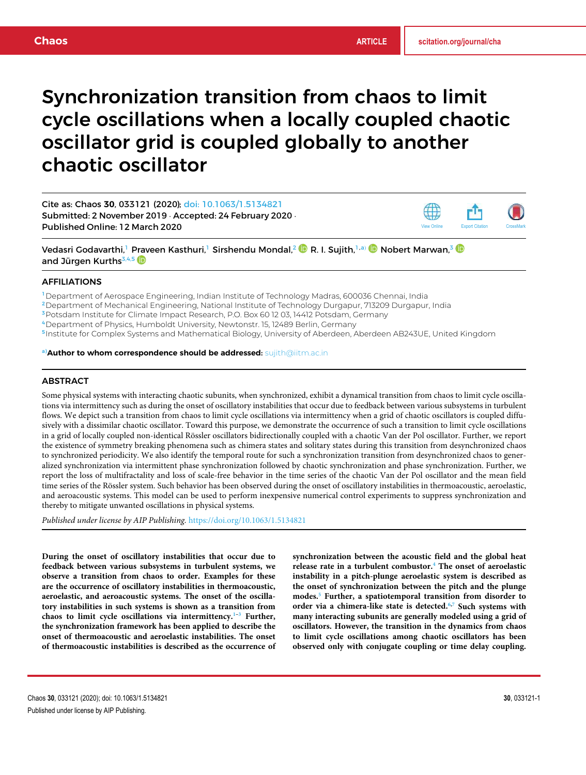# Synchronization transition from chaos to limit cycle oscillations when a locally coupled chaotic oscillator grid is coupled globally to another chaotic oscillator

Cite as: Chaos **30**, 033121 (2020); doi: 10.1063/1.5134821 Submitted: 2 November 2019 · Accepted: 24 February 2020 · Published Online: 12 March 2020

Vedasri Godavarthi,<sup>1</sup> Praveen Kasthuri,<sup>1</sup> Sirshendu Mondal,<sup>2 (D</sup> R. I. Sujith,<sup>1,a)</sup> Dobert Marwan,<sup>3 (D</sup> and Jürgen Kurths<sup>3,4,5</sup>

# AFFILIATIONS

<sup>1</sup>Department of Aerospace Engineering, Indian Institute of Technology Madras, 600036 Chennai, India

<sup>2</sup>Department of Mechanical Engineering, National Institute of Technology Durgapur, 713209 Durgapur, India

<sup>3</sup> Potsdam Institute for Climate Impact Research, P.O. Box 60 12 03, 14412 Potsdam, Germany

<sup>4</sup>Department of Physics, Humboldt University, Newtonstr. 15, 12489 Berlin, Germany

5 Institute for Complex Systems and Mathematical Biology, University of Aberdeen, Aberdeen AB243UE, United Kingdom

a)**Author to whom correspondence should be addressed:** sujith@iitm.ac.in

# **ABSTRACT**

Some physical systems with interacting chaotic subunits, when synchronized, exhibit a dynamical transition from chaos to limit cycle oscillations via intermittency such as during the onset of oscillatory instabilities that occur due to feedback between various subsystems in turbulent flows. We depict such a transition from chaos to limit cycle oscillations via intermittency when a grid of chaotic oscillators is coupled diffusively with a dissimilar chaotic oscillator. Toward this purpose, we demonstrate the occurrence of such a transition to limit cycle oscillations in a grid of locally coupled non-identical Rössler oscillators bidirectionally coupled with a chaotic Van der Pol oscillator. Further, we report the existence of symmetry breaking phenomena such as chimera states and solitary states during this transition from desynchronized chaos to synchronized periodicity. We also identify the temporal route for such a synchronization transition from desynchronized chaos to generalized synchronization via intermittent phase synchronization followed by chaotic synchronization and phase synchronization. Further, we report the loss of multifractality and loss of scale-free behavior in the time series of the chaotic Van der Pol oscillator and the mean field time series of the Rössler system. Such behavior has been observed during the onset of oscillatory instabilities in thermoacoustic, aeroelastic, and aeroacoustic systems. This model can be used to perform inexpensive numerical control experiments to suppress synchronization and thereby to mitigate unwanted oscillations in physical systems.

*Published under license by AIP Publishing.* https://doi.org/10.1063/1.5134821

**During the onset of oscillatory instabilities that occur due to feedback between various subsystems in turbulent systems, we observe a transition from chaos to order. Examples for these are the occurrence of oscillatory instabilities in thermoacoustic, aeroelastic, and aeroacoustic systems. The onset of the oscillatory instabilities in such systems is shown as a transition from chaos to limit cycle oscillations via intermittency.1–3 Further, the synchronization framework has been applied to describe the onset of thermoacoustic and aeroelastic instabilities. The onset of thermoacoustic instabilities is described as the occurrence of** **synchronization between the acoustic field and the global heat release rate in a turbulent combustor.<sup>4</sup> The onset of aeroelastic instability in a pitch-plunge aeroelastic system is described as the onset of synchronization between the pitch and the plunge modes.<sup>5</sup> Further, a spatiotemporal transition from disorder to order via a chimera-like state is detected.6,7 Such systems with many interacting subunits are generally modeled using a grid of oscillators. However, the transition in the dynamics from chaos to limit cycle oscillations among chaotic oscillators has been observed only with conjugate coupling or time delay coupling.**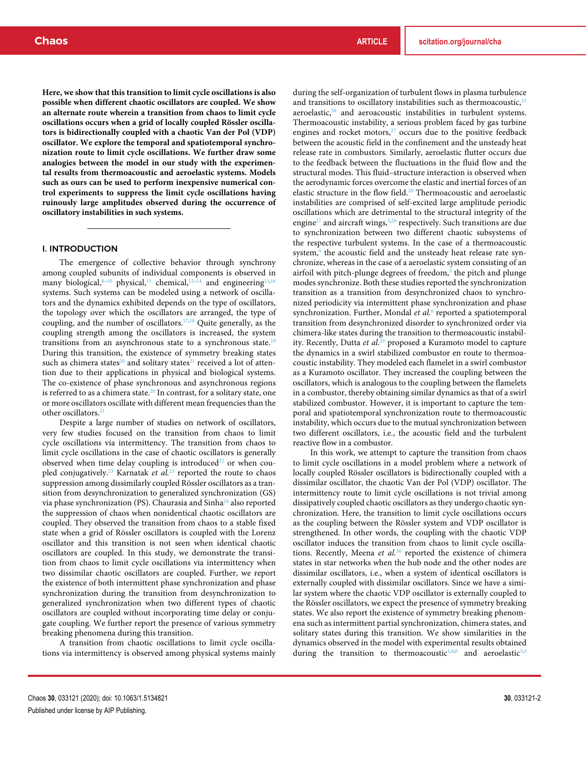**Here, we show that this transition to limit cycle oscillations is also possible when different chaotic oscillators are coupled. We show an alternate route wherein a transition from chaos to limit cycle oscillations occurs when a grid of locally coupled Rössler oscillators is bidirectionally coupled with a chaotic Van der Pol (VDP) oscillator. We explore the temporal and spatiotemporal synchronization route to limit cycle oscillations. We further draw some analogies between the model in our study with the experimental results from thermoacoustic and aeroelastic systems. Models such as ours can be used to perform inexpensive numerical control experiments to suppress the limit cycle oscillations having ruinously large amplitudes observed during the occurrence of oscillatory instabilities in such systems.**

# I. INTRODUCTION

The emergence of collective behavior through synchrony among coupled subunits of individual components is observed in many biological,<sup>8-10</sup> physical,<sup>11</sup> chemical,<sup>12-14</sup> and engineering<sup>15,16</sup> systems. Such systems can be modeled using a network of oscillators and the dynamics exhibited depends on the type of oscillators, the topology over which the oscillators are arranged, the type of coupling, and the number of oscillators.17,18 Quite generally, as the coupling strength among the oscillators is increased, the system transitions from an asynchronous state to a synchronous state.<sup>19</sup> During this transition, the existence of symmetry breaking states such as chimera states<sup>20</sup> and solitary states<sup>21</sup> received a lot of attention due to their applications in physical and biological systems. The co-existence of phase synchronous and asynchronous regions is referred to as a chimera state.<sup>20</sup> In contrast, for a solitary state, one or more oscillators oscillate with different mean frequencies than the other oscillators.<sup>21</sup>

Despite a large number of studies on network of oscillators, very few studies focused on the transition from chaos to limit cycle oscillations via intermittency. The transition from chaos to limit cycle oscillations in the case of chaotic oscillators is generally observed when time delay coupling is introduced $22$  or when coupled conjugatively.<sup>23</sup> Karnatak *et al.*<sup>23</sup> reported the route to chaos suppression among dissimilarly coupled Rössler oscillators as a transition from desynchronization to generalized synchronization (GS) via phase synchronization (PS). Chaurasia and Sinha<sup>24</sup> also reported the suppression of chaos when nonidentical chaotic oscillators are coupled. They observed the transition from chaos to a stable fixed state when a grid of Rössler oscillators is coupled with the Lorenz oscillator and this transition is not seen when identical chaotic oscillators are coupled. In this study, we demonstrate the transition from chaos to limit cycle oscillations via intermittency when two dissimilar chaotic oscillators are coupled. Further, we report the existence of both intermittent phase synchronization and phase synchronization during the transition from desynchronization to generalized synchronization when two different types of chaotic oscillators are coupled without incorporating time delay or conjugate coupling. We further report the presence of various symmetry breaking phenomena during this transition.

A transition from chaotic oscillations to limit cycle oscillations via intermittency is observed among physical systems mainly during the self-organization of turbulent flows in plasma turbulence and transitions to oscillatory instabilities such as thermoacoustic, $25$  $aeroelastic$ , $26$  and  $aeroacoustic$  instabilities in turbulent systems. Thermoacoustic instability, a serious problem faced by gas turbine engines and rocket motors, $27$  occurs due to the positive feedback between the acoustic field in the confinement and the unsteady heat release rate in combustors. Similarly, aeroelastic flutter occurs due to the feedback between the fluctuations in the fluid flow and the structural modes. This fluid–structure interaction is observed when the aerodynamic forces overcome the elastic and inertial forces of an elastic structure in the flow field.<sup>28</sup> Thermoacoustic and aeroelastic instabilities are comprised of self-excited large amplitude periodic oscillations which are detrimental to the structural integrity of the engine<sup>27</sup> and aircraft wings,<sup>5,26</sup> respectively. Such transitions are due to synchronization between two different chaotic subsystems of the respective turbulent systems. In the case of a thermoacoustic system,<sup>4</sup> the acoustic field and the unsteady heat release rate synchronize, whereas in the case of a aeroelastic system consisting of an airfoil with pitch-plunge degrees of freedom,<sup>5</sup> the pitch and plunge modes synchronize. Both these studies reported the synchronization transition as a transition from desynchronized chaos to synchronized periodicity via intermittent phase synchronization and phase synchronization. Further, Mondal *et al.*<sup>6</sup> reported a spatiotemporal transition from desynchronized disorder to synchronized order via chimera-like states during the transition to thermoacoustic instability. Recently, Dutta *et al.*<sup>29</sup> proposed a Kuramoto model to capture the dynamics in a swirl stabilized combustor en route to thermoacoustic instability. They modeled each flamelet in a swirl combustor as a Kuramoto oscillator. They increased the coupling between the oscillators, which is analogous to the coupling between the flamelets in a combustor, thereby obtaining similar dynamics as that of a swirl stabilized combustor. However, it is important to capture the temporal and spatiotemporal synchronization route to thermoacoustic instability, which occurs due to the mutual synchronization between two different oscillators, i.e., the acoustic field and the turbulent reactive flow in a combustor.

In this work, we attempt to capture the transition from chaos to limit cycle oscillations in a model problem where a network of locally coupled Rössler oscillators is bidirectionally coupled with a dissimilar oscillator, the chaotic Van der Pol (VDP) oscillator. The intermittency route to limit cycle oscillations is not trivial among dissipatively coupled chaotic oscillators as they undergo chaotic synchronization. Here, the transition to limit cycle oscillations occurs as the coupling between the Rössler system and VDP oscillator is strengthened. In other words, the coupling with the chaotic VDP oscillator induces the transition from chaos to limit cycle oscillations. Recently, Meena *et al.*<sup>30</sup> reported the existence of chimera states in star networks when the hub node and the other nodes are dissimilar oscillators, i.e., when a system of identical oscillators is externally coupled with dissimilar oscillators. Since we have a similar system where the chaotic VDP oscillator is externally coupled to the Rössler oscillators, we expect the presence of symmetry breaking states. We also report the existence of symmetry breaking phenomena such as intermittent partial synchronization, chimera states, and solitary states during this transition. We show similarities in the dynamics observed in the model with experimental results obtained during the transition to thermoacoustic<sup>1,4,6</sup> and aeroelastic<sup>3,5</sup>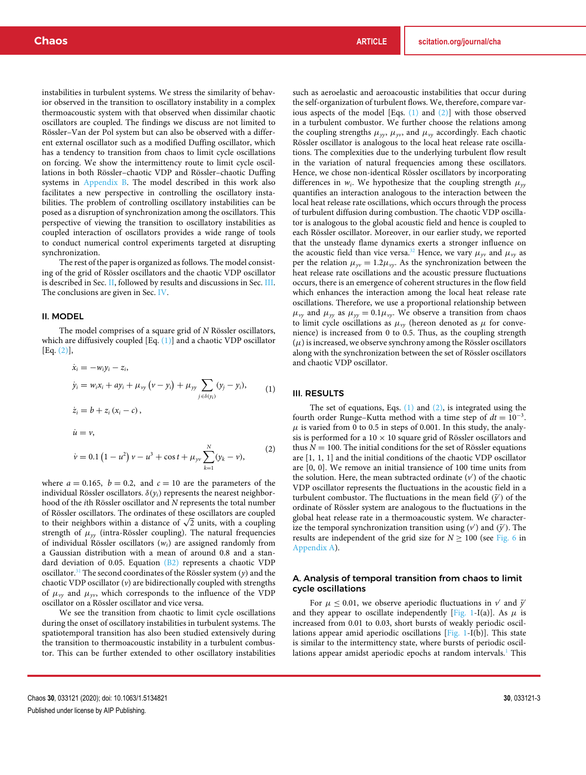instabilities in turbulent systems. We stress the similarity of behavior observed in the transition to oscillatory instability in a complex thermoacoustic system with that observed when dissimilar chaotic oscillators are coupled. The findings we discuss are not limited to Rössler–Van der Pol system but can also be observed with a different external oscillator such as a modified Duffing oscillator, which has a tendency to transition from chaos to limit cycle oscillations on forcing. We show the intermittency route to limit cycle oscillations in both Rössler–chaotic VDP and Rössler–chaotic Duffing systems in Appendix B. The model described in this work also facilitates a new perspective in controlling the oscillatory instabilities. The problem of controlling oscillatory instabilities can be posed as a disruption of synchronization among the oscillators. This perspective of viewing the transition to oscillatory instabilities as coupled interaction of oscillators provides a wide range of tools to conduct numerical control experiments targeted at disrupting synchronization.

The rest of the paper is organized as follows. The model consisting of the grid of Rössler oscillators and the chaotic VDP oscillator is described in Sec. II, followed by results and discussions in Sec. III. The conclusions are given in Sec. IV.

#### II. MODEL

The model comprises of a square grid of *N* Rössler oscillators, which are diffusively coupled [Eq. (1)] and a chaotic VDP oscillator [Eq. (2)],

$$
\dot{x}_i = -w_i y_i - z_i,
$$
  
\n
$$
\dot{y}_i = w_i x_i + a y_i + \mu_{yy} (v - y_i) + \mu_{yy} \sum_{j \in \delta(y_i)} (y_j - y_i),
$$
  
\n
$$
\dot{z}_i = b + z_i (x_i - c),
$$
  
\n
$$
\dot{u} = v,
$$
  
\n
$$
\dot{v} = 0.1 (1 - u^2) v - u^3 + \cos t + \mu_{yy} \sum_{k=1}^N (y_k - v),
$$
\n(2)

where  $a = 0.165$ ,  $b = 0.2$ , and  $c = 10$  are the parameters of the individual Rössler oscillators.  $\delta(y_i)$  represents the nearest neighborhood of the *i*th Rössler oscillator and *N* represents the total number of Rössler oscillators. The ordinates of these oscillators are coupled to their neighbors within a distance of  $\sqrt{2}$  units, with a coupling strength of  $\mu_{yy}$  (intra-Rössler coupling). The natural frequencies of individual Rössler oscillators (*wi*) are assigned randomly from a Gaussian distribution with a mean of around 0.8 and a standard deviation of 0.05. Equation (B2) represents a chaotic VDP oscillator.<sup>31</sup> The second coordinates of the Rössler system  $(y)$  and the chaotic VDP oscillator (*v*) are bidirectionally coupled with strengths of  $\mu_{yy}$  and  $\mu_{yy}$ , which corresponds to the influence of the VDP oscillator on a Rössler oscillator and vice versa.

We see the transition from chaotic to limit cycle oscillations during the onset of oscillatory instabilities in turbulent systems. The spatiotemporal transition has also been studied extensively during the transition to thermoacoustic instability in a turbulent combustor. This can be further extended to other oscillatory instabilities

such as aeroelastic and aeroacoustic instabilities that occur during the self-organization of turbulent flows. We, therefore, compare various aspects of the model [Eqs. (1) and (2)] with those observed in a turbulent combustor. We further choose the relations among the coupling strengths  $\mu_{yy}$ ,  $\mu_{yy}$ , and  $\mu_{yy}$  accordingly. Each chaotic Rössler oscillator is analogous to the local heat release rate oscillations. The complexities due to the underlying turbulent flow result in the variation of natural frequencies among these oscillators. Hence, we chose non-identical Rössler oscillators by incorporating differences in  $w_i$ . We hypothesize that the coupling strength  $\mu_{yy}$ quantifies an interaction analogous to the interaction between the local heat release rate oscillations, which occurs through the process of turbulent diffusion during combustion. The chaotic VDP oscillator is analogous to the global acoustic field and hence is coupled to each Rössler oscillator. Moreover, in our earlier study, we reported that the unsteady flame dynamics exerts a stronger influence on the acoustic field than vice versa.<sup>32</sup> Hence, we vary  $\mu_{\gamma}$  and  $\mu_{\gamma}$  as per the relation  $\mu_{yv} = 1.2\mu_{yy}$ . As the synchronization between the heat release rate oscillations and the acoustic pressure fluctuations occurs, there is an emergence of coherent structures in the flow field which enhances the interaction among the local heat release rate oscillations. Therefore, we use a proportional relationship between  $\mu_{yy}$  and  $\mu_{yy}$  as  $\mu_{yy} = 0.1 \mu_{yy}$ . We observe a transition from chaos to limit cycle oscillations as  $\mu_{yy}$  (hereon denoted as  $\mu$  for convenience) is increased from 0 to 0.5. Thus, as the coupling strength  $(\mu)$  is increased, we observe synchrony among the Rössler oscillators along with the synchronization between the set of Rössler oscillators and chaotic VDP oscillator.

#### III. RESULTS

The set of equations, Eqs.  $(1)$  and  $(2)$ , is integrated using the fourth order Runge–Kutta method with a time step of  $dt = 10^{-3}$ .  $\mu$  is varied from 0 to 0.5 in steps of 0.001. In this study, the analysis is performed for a  $10 \times 10$  square grid of Rössler oscillators and thus  $N = 100$ . The initial conditions for the set of Rössler equations are [1, 1, 1] and the initial conditions of the chaotic VDP oscillator are [0, 0]. We remove an initial transience of 100 time units from the solution. Here, the mean subtracted ordinate (v') of the chaotic VDP oscillator represents the fluctuations in the acoustic field in a turbulent combustor. The fluctuations in the mean field  $(\bar{y}')$  of the ordinate of Rössler system are analogous to the fluctuations in the global heat release rate in a thermoacoustic system. We characterize the temporal synchronization transition using  $(v')$  and  $(\bar{y}')$ . The results are independent of the grid size for  $N \ge 100$  (see Fig. 6 in Appendix A).

# A. Analysis of temporal transition from chaos to limit cycle oscillations

For  $\mu \leq 0.01$ , we observe aperiodic fluctuations in  $v'$  and  $\bar{y}'$ and they appear to oscillate independently [Fig. 1-I(a)]. As  $\mu$  is increased from 0.01 to 0.03, short bursts of weakly periodic oscillations appear amid aperiodic oscillations [Fig. 1-I(b)]. This state is similar to the intermittency state, where bursts of periodic oscillations appear amidst aperiodic epochs at random intervals.<sup>1</sup> This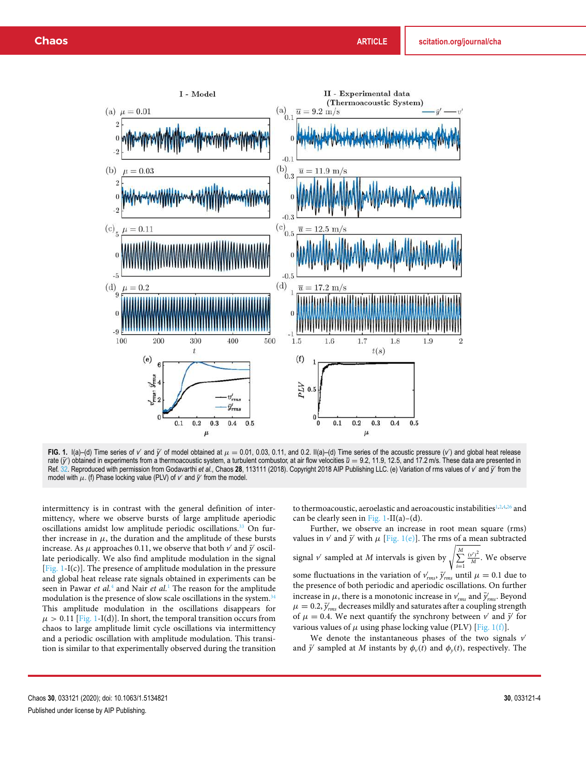

**FIG. 1.** I(a)–(d) Time series of *v'* and  $\bar{y}'$  of model obtained at  $\mu = 0.01$ , 0.03, 0.11, and 0.2. II(a)–(d) Time series of the acoustic pressure (*v'*) and global heat release rate  $(\bar{y}')$  obtained in experiments from a thermoacoustic system, a turbulent combustor, at air flow velocities  $\bar{u} = 9.2$ , 11.9, 12.5, and 17.2 m/s. These data are presented in Ref. 32. Reproduced with permission from Godavarthi *et al.*, Chaos 28, 113111 (2018). Copyright 2018 AIP Publishing LLC. (e) Variation of rms values of *v'* and *y'* from the model with  $\mu$ . (f) Phase locking value (PLV) of  $v'$  and  $\bar{y}'$  from the model.

intermittency is in contrast with the general definition of intermittency, where we observe bursts of large amplitude aperiodic oscillations amidst low amplitude periodic oscillations.<sup>33</sup> On further increase in  $\mu$ , the duration and the amplitude of these bursts increase. As  $\mu$  approaches 0.11, we observe that both  $\nu'$  and  $\bar{\nu}'$  oscillate periodically. We also find amplitude modulation in the signal [Fig. 1-I(c)]. The presence of amplitude modulation in the pressure and global heat release rate signals obtained in experiments can be seen in Pawar *et al.*<sup>4</sup> and Nair *et al.*<sup>1</sup> The reason for the amplitude modulation is the presence of slow scale oscillations in the system.<sup>34</sup> This amplitude modulation in the oscillations disappears for  $\mu > 0.11$  [Fig. 1-I(d)]. In short, the temporal transition occurs from chaos to large amplitude limit cycle oscillations via intermittency and a periodic oscillation with amplitude modulation. This transition is similar to that experimentally observed during the transition

to thermoacoustic, aeroelastic and aeroacoustic instabilities<sup>1,2,4,26</sup> and can be clearly seen in Fig. 1-II(a)–(d).

Further, we observe an increase in root mean square (rms) values in  $v'$  and  $\bar{y}'$  with  $\mu$  [Fig. 1(e)]. The rms of a mean subtracted signal  $\nu'$  sampled at  $M$  intervals is given by  $\sqrt{\frac{1}{n}}$  $\sum^M$ *i*=1 (*v* ′ ) 2 *M* We observe some fluctuations in the variation of  $v'_{rms}$ ,  $\bar{y}'_{rms}$  until  $\mu = 0.1$  due to the presence of both periodic and aperiodic oscillations. On further increase in  $\mu$ , there is a monotonic increase in  $v'_{rms}$  and  $\bar{y}'_{rms}$ . Beyond  $\mu = 0.2, \bar{y}'_{rms}$  decreases mildly and saturates after a coupling strength of  $\mu = 0.4$ . We next quantify the synchrony between  $\nu'$  and  $\bar{\nu}'$  for various values of  $\mu$  using phase locking value (PLV) [Fig. 1(f)].

We denote the instantaneous phases of the two signals  $v'$ and  $\bar{y}'$  sampled at *M* instants by  $\phi_{\nu}(t)$  and  $\phi_{\nu}(t)$ , respectively. The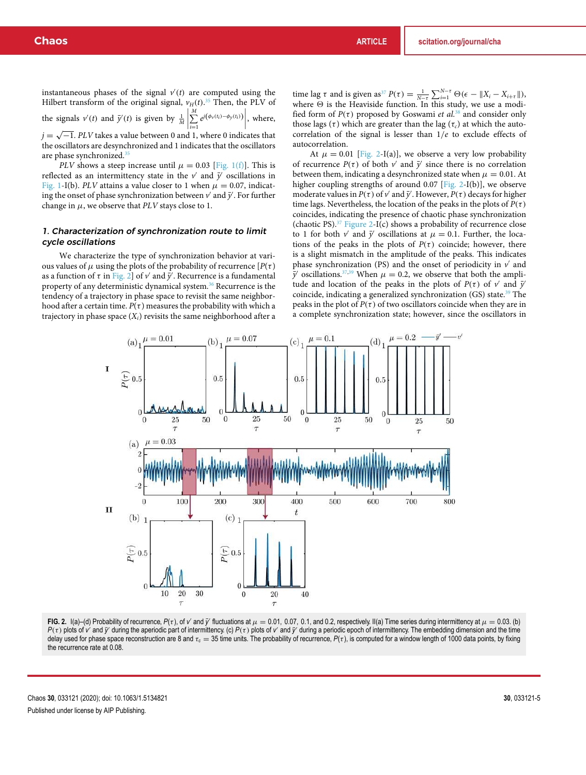instantaneous phases of the signal  $v'(t)$  are computed using the Hilbert transform of the original signal,  $v_H(t)$ .<sup>35</sup> Then, the PLV of the signals  $v'(t)$  and  $\bar{y}'(t)$  is given by  $\frac{1}{M}$  $\begin{array}{c} \hline \end{array}$  $\sum^M$ *i*=1  $e^{j(\phi_v(t_i)-\phi_y(t_i))}$ , where,  $j = \sqrt{-1}$ . *PLV* takes a value between 0 and 1, where 0 indicates that

the oscillators are desynchronized and 1 indicates that the oscillators are phase synchronized.<sup>35</sup>

*PLV* shows a steep increase until  $\mu = 0.03$  [Fig. 1(f)]. This is reflected as an intermittency state in the  $v'$  and  $\bar{y}'$  oscillations in Fig. 1-I(b). *PLV* attains a value closer to 1 when  $\mu = 0.07$ , indicating the onset of phase synchronization between  $v'$  and  $\bar{y}'$ . For further change in  $\mu$ , we observe that *PLV* stays close to 1.

# 1. Characterization of synchronization route to limit cycle oscillations

We characterize the type of synchronization behavior at various values of  $\mu$  using the plots of the probability of recurrence [ $P(\tau)$ ] as a function of  $\tau$  in Fig. 2] of  $\nu'$  and  $\bar{\nu}'$ . Recurrence is a fundamental property of any deterministic dynamical system.<sup>36</sup> Recurrence is the tendency of a trajectory in phase space to revisit the same neighborhood after a certain time.  $P(\tau)$  measures the probability with which a trajectory in phase space  $(X_i)$  revisits the same neighborhood after a time lag  $\tau$  and is given as<sup>37</sup>  $P(\tau) = \frac{1}{N-\tau} \sum_{i=1}^{N-\tau} \Theta(\epsilon - ||X_i - X_{i+\tau}||)$ , where  $\Theta$  is the Heaviside function. In this study, we use a modified form of  $P(\tau)$  proposed by Goswami *et al.*<sup>38</sup> and consider only those lags (τ) which are greater than the lag ( $\tau_c$ ) at which the autocorrelation of the signal is lesser than 1/*e* to exclude effects of autocorrelation.

At  $\mu = 0.01$  [Fig. 2-I(a)], we observe a very low probability of recurrence  $P(\tau)$  of both  $\nu'$  and  $\bar{\nu}'$  since there is no correlation between them, indicating a desynchronized state when  $\mu = 0.01$ . At higher coupling strengths of around 0.07 [Fig. 2-I(b)], we observe moderate values in *P*( $\tau$ ) of  $\nu'$  and  $\bar{\nu}'$ . However, *P*( $\tau$ ) decays for higher time lags. Nevertheless, the location of the peaks in the plots of  $P(\tau)$ coincides, indicating the presence of chaotic phase synchronization (chaotic PS).<sup>37</sup> Figure 2-I(c) shows a probability of recurrence close to 1 for both  $v'$  and  $\bar{y}'$  oscillations at  $\mu = 0.1$ . Further, the locations of the peaks in the plots of  $P(\tau)$  coincide; however, there is a slight mismatch in the amplitude of the peaks. This indicates phase synchronization (PS) and the onset of periodicity in  $v'$  and  $\bar{y}'$  oscillations.<sup>37,39</sup> When  $\mu = 0.2$ , we observe that both the amplitude and location of the peaks in the plots of  $P(\tau)$  of *v*' and  $\bar{y}'$ coincide, indicating a generalized synchronization  $(GS)$  state.<sup>39</sup> The peaks in the plot of  $P(\tau)$  of two oscillators coincide when they are in a complete synchronization state; however, since the oscillators in



**FIG. 2.** I(a)–(d) Probability of recurrence,  $P(\tau)$ , of *v* and  $\bar{y}$  fluctuations at  $\mu = 0.01$ , 0.07, 0.1, and 0.2, respectively. II(a) Time series during intermittency at  $\mu = 0.03$ . (b) *P*(τ) plots of *v* and *y*<sup></sub> during the aperiodic part of intermittency. (c) *P*(τ) plots of *v* and *y*<sup></sup> during a periodic epoch of intermittency. The embedding dimension and the time</sup> delay used for phase space reconstruction are 8 and τ<sub>c</sub> = 35 time units. The probability of recurrence,  $P(τ)$ , is computed for a window length of 1000 data points, by fixing the recurrence rate at 0.08.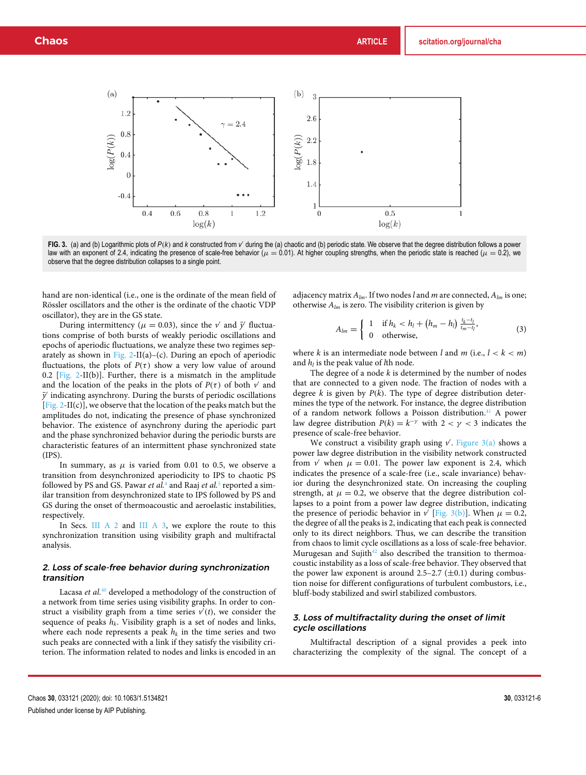

FIG. 3. (a) and (b) Logarithmic plots of  $P(k)$  and *k* constructed from *v'* during the (a) chaotic and (b) periodic state. We observe that the degree distribution follows a power law with an exponent of 2.4, indicating the presence of scale-free behavior ( $\mu = 0.01$ ). At higher coupling strengths, when the periodic state is reached ( $\mu = 0.2$ ), we observe that the degree distribution collapses to a single point.

hand are non-identical (i.e., one is the ordinate of the mean field of Rössler oscillators and the other is the ordinate of the chaotic VDP oscillator), they are in the GS state.

During intermittency ( $\mu = 0.03$ ), since the *v'* and  $\bar{y}'$  fluctuations comprise of both bursts of weakly periodic oscillations and epochs of aperiodic fluctuations, we analyze these two regimes separately as shown in Fig. 2-II(a)–(c). During an epoch of aperiodic fluctuations, the plots of  $P(\tau)$  show a very low value of around 0.2 [Fig. 2-II(b)]. Further, there is a mismatch in the amplitude and the location of the peaks in the plots of  $P(\tau)$  of both  $\nu'$  and  $\bar{y}'$  indicating asynchrony. During the bursts of periodic oscillations  $[Fig. 2-II(c)]$ , we observe that the location of the peaks match but the amplitudes do not, indicating the presence of phase synchronized behavior. The existence of asynchrony during the aperiodic part and the phase synchronized behavior during the periodic bursts are characteristic features of an intermittent phase synchronized state (IPS).

In summary, as  $\mu$  is varied from 0.01 to 0.5, we observe a transition from desynchronized aperiodicity to IPS to chaotic PS followed by PS and GS. Pawar *et al.*<sup>4</sup> and Raaj *et al.*<sup>5</sup> reported a similar transition from desynchronized state to IPS followed by PS and GS during the onset of thermoacoustic and aeroelastic instabilities, respectively.

In Secs. III A 2 and III A 3, we explore the route to this synchronization transition using visibility graph and multifractal analysis.

### 2. Loss of scale-free behavior during synchronization transition

Lacasa *et al.*<sup>40</sup> developed a methodology of the construction of a network from time series using visibility graphs. In order to construct a visibility graph from a time series  $v'(t)$ , we consider the sequence of peaks  $h_k$ . Visibility graph is a set of nodes and links, where each node represents a peak  $h_k$  in the time series and two such peaks are connected with a link if they satisfy the visibility criterion. The information related to nodes and links is encoded in an

adjacency matrix *Alm*. If two nodes *l* and *m* are connected, *Alm* is one; otherwise *Alm* is zero. The visibility criterion is given by

$$
A_{lm} = \begin{cases} 1 & \text{if } h_k < h_l + (h_m - h_l) \frac{t_k - t_l}{t_m - t_l}, \\ 0 & \text{otherwise,} \end{cases} \tag{3}
$$

where *k* is an intermediate node between *l* and *m* (i.e.,  $l < k < m$ ) and *h<sup>l</sup>* is the peak value of *l*th node.

The degree of a node *k* is determined by the number of nodes that are connected to a given node. The fraction of nodes with a degree *k* is given by *P*(*k*). The type of degree distribution determines the type of the network. For instance, the degree distribution of a random network follows a Poisson distribution.<sup>41</sup> A power law degree distribution  $P(k) = k^{-\gamma}$  with  $2 < \gamma < 3$  indicates the presence of scale-free behavior.

We construct a visibility graph using  $\nu'$ . Figure 3(a) shows a power law degree distribution in the visibility network constructed from *v* when  $\mu = 0.01$ . The power law exponent is 2.4, which indicates the presence of a scale-free (i.e., scale invariance) behavior during the desynchronized state. On increasing the coupling strength, at  $\mu = 0.2$ , we observe that the degree distribution collapses to a point from a power law degree distribution, indicating the presence of periodic behavior in  $\nu'$  [Fig. 3(b)]. When  $\mu = 0.2$ , the degree of all the peaks is 2, indicating that each peak is connected only to its direct neighbors. Thus, we can describe the transition from chaos to limit cycle oscillations as a loss of scale-free behavior. Murugesan and Sujith $42$  also described the transition to thermoacoustic instability as a loss of scale-free behavior. They observed that the power law exponent is around  $2.5-2.7 \ (\pm 0.1)$  during combustion noise for different configurations of turbulent combustors, i.e., bluff-body stabilized and swirl stabilized combustors.

# 3. Loss of multifractality during the onset of limit cycle oscillations

Multifractal description of a signal provides a peek into characterizing the complexity of the signal. The concept of a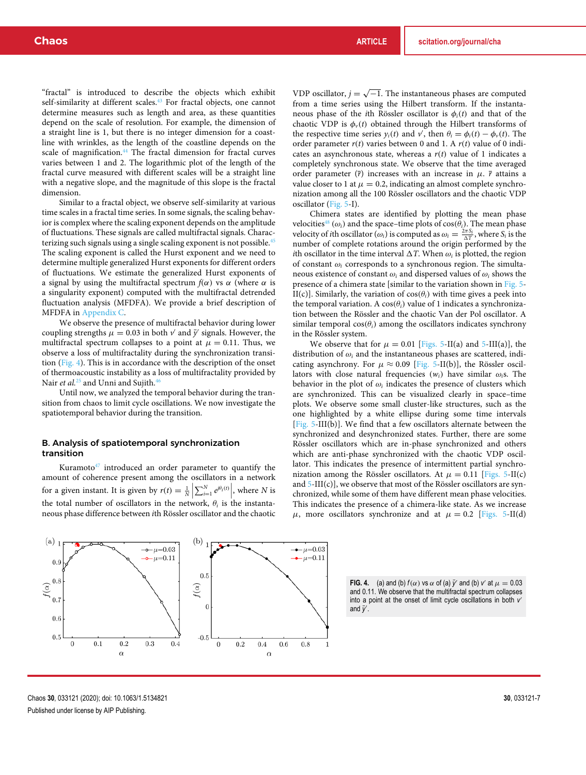"fractal" is introduced to describe the objects which exhibit self-similarity at different scales.<sup>43</sup> For fractal objects, one cannot determine measures such as length and area, as these quantities depend on the scale of resolution. For example, the dimension of a straight line is 1, but there is no integer dimension for a coastline with wrinkles, as the length of the coastline depends on the scale of magnification.<sup>44</sup> The fractal dimension for fractal curves varies between 1 and 2. The logarithmic plot of the length of the fractal curve measured with different scales will be a straight line with a negative slope, and the magnitude of this slope is the fractal dimension.

Similar to a fractal object, we observe self-similarity at various time scales in a fractal time series. In some signals, the scaling behavior is complex where the scaling exponent depends on the amplitude of fluctuations. These signals are called multifractal signals. Characterizing such signals using a single scaling exponent is not possible.<sup>45</sup> The scaling exponent is called the Hurst exponent and we need to determine multiple generalized Hurst exponents for different orders of fluctuations. We estimate the generalized Hurst exponents of a signal by using the multifractal spectrum  $f(\alpha)$  vs  $\alpha$  (where  $\alpha$  is a singularity exponent) computed with the multifractal detrended fluctuation analysis (MFDFA). We provide a brief description of MFDFA in Appendix C.

We observe the presence of multifractal behavior during lower coupling strengths  $\mu = 0.03$  in both  $\nu'$  and  $\bar{\nu}'$  signals. However, the multifractal spectrum collapses to a point at  $\mu = 0.11$ . Thus, we observe a loss of multifractality during the synchronization transition (Fig. 4). This is in accordance with the description of the onset of thermoacoustic instability as a loss of multifractality provided by Nair *et al.*<sup>25</sup> and Unni and Sujith.<sup>46</sup>

Until now, we analyzed the temporal behavior during the transition from chaos to limit cycle oscillations. We now investigate the spatiotemporal behavior during the transition.

### B. Analysis of spatiotemporal synchronization transition

Kuramoto $47$  introduced an order parameter to quantify the amount of coherence present among the oscillators in a network for a given instant. It is given by  $r(t) = \frac{1}{N} \left| \sum_{i=1}^{N} e^{j\theta_i(t)} \right|$ , where *N* is the total number of oscillators in the network,  $\theta_i$  is the instantaneous phase difference between *i*th Rössler oscillator and the chaotic

VDP oscillator,  $j = \sqrt{-1}$ . The instantaneous phases are computed from a time series using the Hilbert transform. If the instantaneous phase of the *i*th Rössler oscillator is  $\phi_i(t)$  and that of the chaotic VDP is  $\phi_{\nu}(t)$  obtained through the Hilbert transforms of the respective time series  $y_i(t)$  and  $v'$ , then  $\theta_i = \phi_i(t) - \phi_v(t)$ . The order parameter *r*(*t*) varies between 0 and 1. A *r*(*t*) value of 0 indicates an asynchronous state, whereas a  $r(t)$  value of 1 indicates a completely synchronous state. We observe that the time averaged order parameter  $(\bar{r})$  increases with an increase in  $\mu$ .  $\bar{r}$  attains a value closer to 1 at  $\mu = 0.2$ , indicating an almost complete synchronization among all the 100 Rössler oscillators and the chaotic VDP oscillator (Fig. 5-I).

Chimera states are identified by plotting the mean phase velocities<sup>48</sup> ( $\omega_i$ ) and the space–time plots of cos( $\theta_i$ ). The mean phase velocity of *i*th oscillator ( $\omega_i$ ) is computed as  $\omega_i = \frac{2\pi S_i}{\Delta T}$ , where  $S_i$  is the number of complete rotations around the origin performed by the *i*th oscillator in the time interval  $\Delta T$ . When  $\omega_i$  is plotted, the region of constant ω*<sup>i</sup>* corresponds to a synchronous region. The simultaneous existence of constant  $\omega_i$  and dispersed values of  $\omega_i$  shows the presence of a chimera state [similar to the variation shown in Fig. 5- II(c)]. Similarly, the variation of  $cos(\theta_i)$  with time gives a peek into the temporal variation. A  $cos(\theta_i)$  value of 1 indicates a synchronization between the Rössler and the chaotic Van der Pol oscillator. A similar temporal  $cos(\theta_i)$  among the oscillators indicates synchrony in the Rössler system.

We observe that for  $\mu = 0.01$  [Figs. 5-II(a) and 5-III(a)], the distribution of  $\omega_i$  and the instantaneous phases are scattered, indicating asynchrony. For  $\mu \approx 0.09$  [Fig. 5-II(b)], the Rössler oscillators with close natural frequencies  $(w_i)$  have similar  $\omega_i$ s. The behavior in the plot of  $\omega_i$  indicates the presence of clusters which are synchronized. This can be visualized clearly in space–time plots. We observe some small cluster-like structures, such as the one highlighted by a white ellipse during some time intervals [Fig. 5-III(b)]. We find that a few oscillators alternate between the synchronized and desynchronized states. Further, there are some Rössler oscillators which are in-phase synchronized and others which are anti-phase synchronized with the chaotic VDP oscillator. This indicates the presence of intermittent partial synchronization among the Rössler oscillators. At  $\mu = 0.11$  [Figs. 5-II(c) and  $5$ -III(c)], we observe that most of the Rössler oscillators are synchronized, while some of them have different mean phase velocities. This indicates the presence of a chimera-like state. As we increase  $\mu$ , more oscillators synchronize and at  $\mu = 0.2$  [Figs. 5-II(d)



**FIG. 4.** (a) and (b)  $f(\alpha)$  vs  $\alpha$  of (a)  $\bar{y}'$  and (b) *v* at  $\mu = 0.03$ and 0.11. We observe that the multifractal spectrum collapses into a point at the onset of limit cycle oscillations in both *v* ′ and *y*¯ ′ .

Chaos **30**, 033121 (2020); doi: 10.1063/1.5134821 **30**, 033121-7 Published under license by AIP Publishing.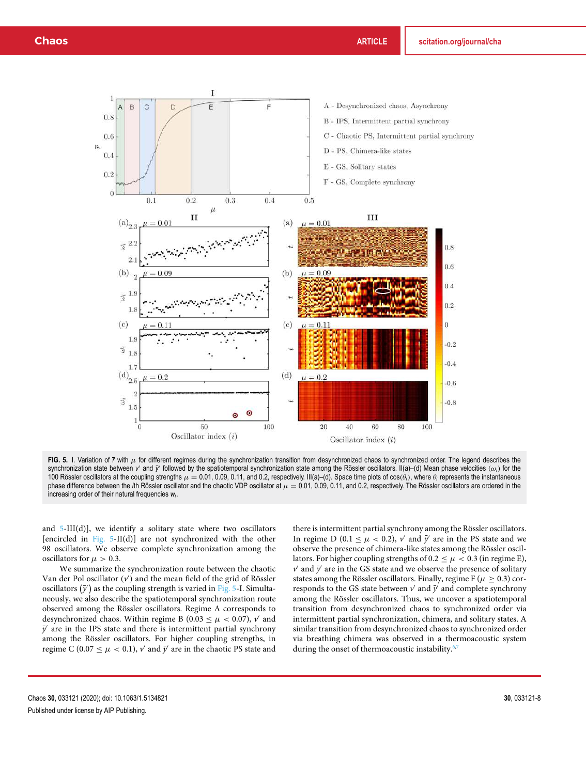

FIG. 5. I. Variation of  $\bar{r}$  with  $\mu$  for different regimes during the synchronization transition from desynchronized chaos to synchronized order. The legend describes the synchronization state between *ν'* and *y'* followed by the spatiotemporal synchronization state among the Rössler oscillators. II(a)–(d) Mean phase velocities (ω*<sub>i</sub>*) for the 100 Rössler oscillators at the coupling strengths  $\mu = 0.01$ , 0.09, 0.11, and 0.2, respectively. III(a)–(d). Space time plots of cos( $\theta_i$ ), where  $\theta_i$  represents the instantaneous phase difference between the *i*th Rössler oscillator and the chaotic VDP oscillator at  $\mu = 0.01$ , 0.09, 0.11, and 0.2, respectively. The Rössler oscillators are ordered in the increasing order of their natural frequencies *w<sup>i</sup>* .

and  $5-III(d)$ ], we identify a solitary state where two oscillators [encircled in Fig. 5-II(d)] are not synchronized with the other 98 oscillators. We observe complete synchronization among the oscillators for  $\mu > 0.3$ .

We summarize the synchronization route between the chaotic Van der Pol oscillator (v') and the mean field of the grid of Rössler oscillators  $(\bar{y}')$  as the coupling strength is varied in Fig. 5-I. Simultaneously, we also describe the spatiotemporal synchronization route observed among the Rössler oscillators. Regime A corresponds to desynchronized chaos. Within regime B ( $0.03 \le \mu < 0.07$ ),  $\nu'$  and  $\bar{y}'$  are in the IPS state and there is intermittent partial synchrony among the Rössler oscillators. For higher coupling strengths, in regime C ( $0.07 \leq \mu < 0.1$ ),  $\nu'$  and  $\bar{y}'$  are in the chaotic PS state and

there is intermittent partial synchrony among the Rössler oscillators. In regime D (0.1  $\leq \mu < 0.2$ ),  $\nu'$  and  $\bar{\nu}'$  are in the PS state and we observe the presence of chimera-like states among the Rössler oscillators. For higher coupling strengths of 0.2  $\leq \mu <$  0.3 (in regime E),  $\nu'$  and  $\bar{y}'$  are in the GS state and we observe the presence of solitary states among the Rössler oscillators. Finally, regime F ( $\mu > 0.3$ ) corresponds to the GS state between  $v'$  and  $\bar{y}'$  and complete synchrony among the Rössler oscillators. Thus, we uncover a spatiotemporal transition from desynchronized chaos to synchronized order via intermittent partial synchronization, chimera, and solitary states. A similar transition from desynchronized chaos to synchronized order via breathing chimera was observed in a thermoacoustic system during the onset of thermoacoustic instability.<sup>6,7</sup>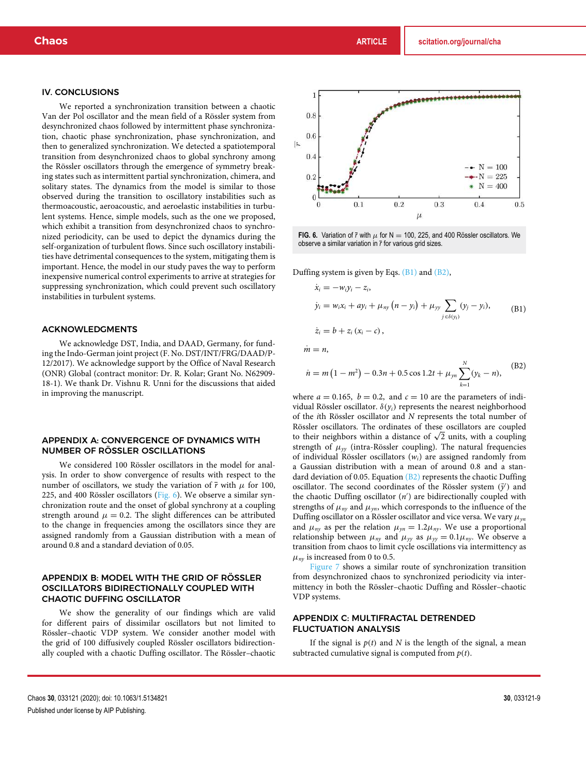#### IV. CONCLUSIONS

We reported a synchronization transition between a chaotic Van der Pol oscillator and the mean field of a Rössler system from desynchronized chaos followed by intermittent phase synchronization, chaotic phase synchronization, phase synchronization, and then to generalized synchronization. We detected a spatiotemporal transition from desynchronized chaos to global synchrony among the Rössler oscillators through the emergence of symmetry breaking states such as intermittent partial synchronization, chimera, and solitary states. The dynamics from the model is similar to those observed during the transition to oscillatory instabilities such as thermoacoustic, aeroacoustic, and aeroelastic instabilities in turbulent systems. Hence, simple models, such as the one we proposed, which exhibit a transition from desynchronized chaos to synchronized periodicity, can be used to depict the dynamics during the self-organization of turbulent flows. Since such oscillatory instabilities have detrimental consequences to the system, mitigating them is important. Hence, the model in our study paves the way to perform inexpensive numerical control experiments to arrive at strategies for suppressing synchronization, which could prevent such oscillatory instabilities in turbulent systems.

#### ACKNOWLEDGMENTS

We acknowledge DST, India, and DAAD, Germany, for funding the Indo-German joint project (F. No. DST/INT/FRG/DAAD/P-12/2017). We acknowledge support by the Office of Naval Research (ONR) Global (contract monitor: Dr. R. Kolar; Grant No. N62909- 18-1). We thank Dr. Vishnu R. Unni for the discussions that aided in improving the manuscript.

# APPENDIX A: CONVERGENCE OF DYNAMICS WITH NUMBER OF RÖSSLER OSCILLATIONS

We considered 100 Rössler oscillators in the model for analysis. In order to show convergence of results with respect to the number of oscillators, we study the variation of  $\bar{r}$  with  $\mu$  for 100, 225, and 400 Rössler oscillators (Fig. 6). We observe a similar synchronization route and the onset of global synchrony at a coupling strength around  $\mu = 0.2$ . The slight differences can be attributed to the change in frequencies among the oscillators since they are assigned randomly from a Gaussian distribution with a mean of around 0.8 and a standard deviation of 0.05.

### APPENDIX B: MODEL WITH THE GRID OF RÖSSLER OSCILLATORS BIDIRECTIONALLY COUPLED WITH CHAOTIC DUFFING OSCILLATOR

We show the generality of our findings which are valid for different pairs of dissimilar oscillators but not limited to Rössler–chaotic VDP system. We consider another model with the grid of 100 diffusively coupled Rössler oscillators bidirectionally coupled with a chaotic Duffing oscillator. The Rössler–chaotic



**FIG. 6.** Variation of  $\bar{r}$  with  $\mu$  for N = 100, 225, and 400 Rössler oscillators. We observe a similar variation in *r* for various grid sizes.

Duffing system is given by Eqs. (B1) and (B2),

$$
\dot{x}_i = -w_i y_i - z_i,\n\dot{y}_i = w_i x_i + a y_i + \mu_{ny} (n - y_i) + \mu_{yy} \sum_{j \in \delta(y_i)} (y_j - y_i),
$$
\n(B1)

$$
\dot{z}_i = b + z_i (x_i - c),
$$

 $\dot{m} = n$ 

$$
\dot{n} = m\left(1 - m^2\right) - 0.3n + 0.5\cos 1.2t + \mu_{yn} \sum_{k=1}^{N} (y_k - n),
$$
 (B2)

where  $a = 0.165$ ,  $b = 0.2$ , and  $c = 10$  are the parameters of individual Rössler oscillator. δ(*yi*) represents the nearest neighborhood of the *i*th Rössler oscillator and *N* represents the total number of Rössler oscillators. The ordinates of these oscillators are coupled to their neighbors within a distance of  $\sqrt{2}$  units, with a coupling strength of  $\mu_{yy}$  (intra-Rössler coupling). The natural frequencies of individual Rössler oscillators (*wi*) are assigned randomly from a Gaussian distribution with a mean of around 0.8 and a standard deviation of 0.05. Equation  $(B2)$  represents the chaotic Duffing oscillator. The second coordinates of the Rössler system  $(\bar{y}')$  and the chaotic Duffing oscillator (*n* ′ ) are bidirectionally coupled with strengths of  $\mu_{ny}$  and  $\mu_{yn}$ , which corresponds to the influence of the Duffing oscillator on a Rössler oscillator and vice versa. We vary µ*yn* and  $\mu_{ny}$  as per the relation  $\mu_{yn} = 1.2\mu_{ny}$ . We use a proportional relationship between  $\mu_{ny}$  and  $\mu_{yy}$  as  $\mu_{yy} = 0.1 \mu_{ny}$ . We observe a transition from chaos to limit cycle oscillations via intermittency as  $\mu_{ny}$  is increased from 0 to 0.5.

Figure 7 shows a similar route of synchronization transition from desynchronized chaos to synchronized periodicity via intermittency in both the Rössler–chaotic Duffing and Rössler–chaotic VDP systems.

# APPENDIX C: MULTIFRACTAL DETRENDED FLUCTUATION ANALYSIS

If the signal is  $p(t)$  and *N* is the length of the signal, a mean subtracted cumulative signal is computed from *p*(*t*).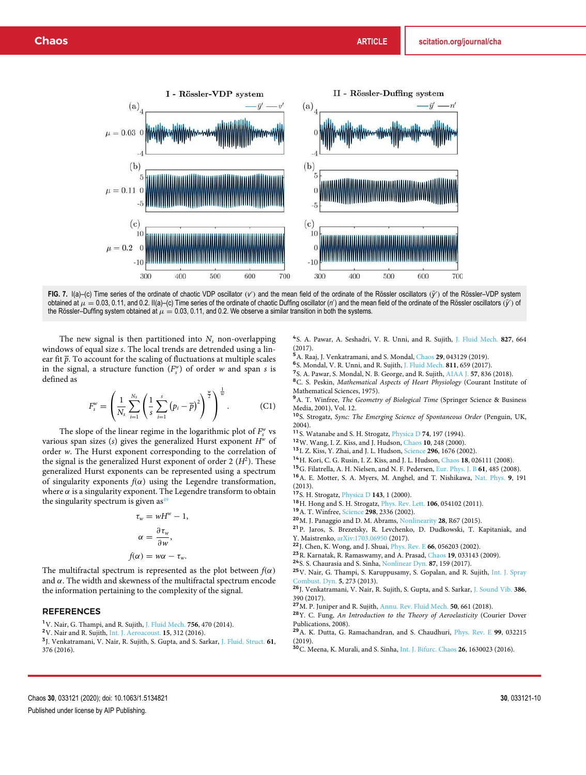

**FIG. 7.**  $I(a)$  (c) Time series of the ordinate of chaotic VDP oscillator (*v*<sup>2</sup>) and the mean field of the ordinate of the Rössler oscillators (*y*<sup>2</sup>) of the Rössler–VDP system obtained at  $\mu = 0.03, 0.11$ , and 0.2. II(a)–(c) Time series of the ordinate of chaotic Duffing oscillator (*n*') and the mean field of the ordinate of the Rössler oscillators (*y*<sup>-</sup>) of the Rössler–Duffing system obtained at  $\mu = 0.03$ , 0.11, and 0.2. We observe a similar transition in both the systems.

The new signal is then partitioned into  $N_s$  non-overlapping windows of equal size *s*. The local trends are detrended using a linear fit  $\bar{p}$ . To account for the scaling of fluctuations at multiple scales in the signal, a structure function  $(F_s^w)$  of order *w* and span *s* is defined as

$$
F_s^w = \left(\frac{1}{N_s} \sum_{i=1}^{N_s} \left(\frac{1}{s} \sum_{i=1}^s (p_i - \overline{p})^2\right)^{\frac{w}{2}}\right)^{\frac{1}{w}}.
$$
 (C1)

The slope of the linear regime in the logarithmic plot of  $F_s^w$  vs various span sizes (*s*) gives the generalized Hurst exponent *H<sup>w</sup>* of order *w*. The Hurst exponent corresponding to the correlation of the signal is the generalized Hurst exponent of order  $2(H^2)$ . These generalized Hurst exponents can be represented using a spectrum of singularity exponents  $f(\alpha)$  using the Legendre transformation, where  $\alpha$  is a singularity exponent. The Legendre transform to obtain the singularity spectrum is given as  $49$ 

$$
\tau_w = wH^w - 1,
$$
  
\n
$$
\alpha = \frac{\partial \tau_w}{\partial w},
$$
  
\n
$$
f(\alpha) = w\alpha - \tau_w.
$$

The multifractal spectrum is represented as the plot between  $f(\alpha)$ and  $\alpha$ . The width and skewness of the multifractal spectrum encode the information pertaining to the complexity of the signal.

#### REFERENCES

<sup>1</sup>V. Nair, G. Thampi, and R. Sujith, J. Fluid Mech. **756**, 470 (2014).

<sup>2</sup>V. Nair and R. Sujith, Int. J. Aeroacoust. **15**, 312 (2016).

3 J. Venkatramani, V. Nair, R. Sujith, S. Gupta, and S. Sarkar, J. Fluid. Struct. **61**, 376 (2016).

4 S. A. Pawar, A. Seshadri, V. R. Unni, and R. Sujith, J. Fluid Mech. **827**, 664 (2017).

<sup>5</sup>A. Raaj, J. Venkatramani, and S. Mondal, Chaos **29**, 043129 (2019).

6 S. Mondal, V. R. Unni, and R. Sujith, J. Fluid Mech. **811**, 659 (2017).

7 S. A. Pawar, S. Mondal, N. B. George, and R. Sujith, AIAA J. **57**, 836 (2018).

<sup>8</sup>C. S. Peskin, *Mathematical Aspects of Heart Physiology* (Courant Institute of Mathematical Sciences, 1975).

<sup>9</sup>A. T. Winfree, *The Geometry of Biological Time* (Springer Science & Business Media, 2001), Vol. 12.

<sup>10</sup>S. Strogatz, *Sync: The Emerging Science of Spontaneous Order* (Penguin, UK,

2004). <sup>11</sup>S. Watanabe and S. H. Strogatz, Physica D **74**, 197 (1994).

<sup>12</sup>W. Wang, I. Z. Kiss, and J. Hudson, Chaos **10**, 248 (2000).

<sup>13</sup>I. Z. Kiss, Y. Zhai, and J. L. Hudson, Science **296**, 1676 (2002).

<sup>14</sup>H. Kori, C. G. Rusin, I. Z. Kiss, and J. L. Hudson, Chaos **18**, 026111 (2008).

<sup>15</sup>G. Filatrella, A. H. Nielsen, and N. F. Pedersen, Eur. Phys. J. B **61**, 485 (2008).

<sup>16</sup>A. E. Motter, S. A. Myers, M. Anghel, and T. Nishikawa, Nat. Phys. **9**, 191

(2013).

<sup>17</sup>S. H. Strogatz, Physica D **143**, 1 (2000).

<sup>18</sup>H. Hong and S. H. Strogatz, Phys. Rev. Lett. **106**, 054102 (2011).

<sup>19</sup>A. T. Winfree, Science **298**, 2336 (2002).

<sup>20</sup>M. J. Panaggio and D. M. Abrams, Nonlinearity **28**, R67 (2015).

<sup>21</sup>P. Jaros, S. Brezetsky, R. Levchenko, D. Dudkowski, T. Kapitaniak, and Y. Maistrenko, arXiv:1703.06950 (2017).

<sup>22</sup>J. Chen, K. Wong, and J. Shuai, Phys. Rev. E **66**, 056203 (2002).

<sup>23</sup>R. Karnatak, R. Ramaswamy, and A. Prasad, Chaos **19**, 033143 (2009).

<sup>24</sup>S. S. Chaurasia and S. Sinha, Nonlinear Dyn. **87**, 159 (2017).

<sup>25</sup>V. Nair, G. Thampi, S. Karuppusamy, S. Gopalan, and R. Sujith, Int. J. Spray Combust. Dyn. **5**, 273 (2013).

<sup>26</sup>J. Venkatramani, V. Nair, R. Sujith, S. Gupta, and S. Sarkar, J. Sound Vib. **386**, 390 (2017).

<sup>27</sup>M. P. Juniper and R. Sujith, Annu. Rev. Fluid Mech. **50**, 661 (2018).

<sup>28</sup>Y. C. Fung, *An Introduction to the Theory of Aeroelasticity* (Courier Dover Publications, 2008).

<sup>29</sup>A. K. Dutta, G. Ramachandran, and S. Chaudhuri, Phys. Rev. E **99**, 032215 (2019).

<sup>30</sup>C. Meena, K. Murali, and S. Sinha, Int. J. Bifurc. Chaos **26**, 1630023 (2016).